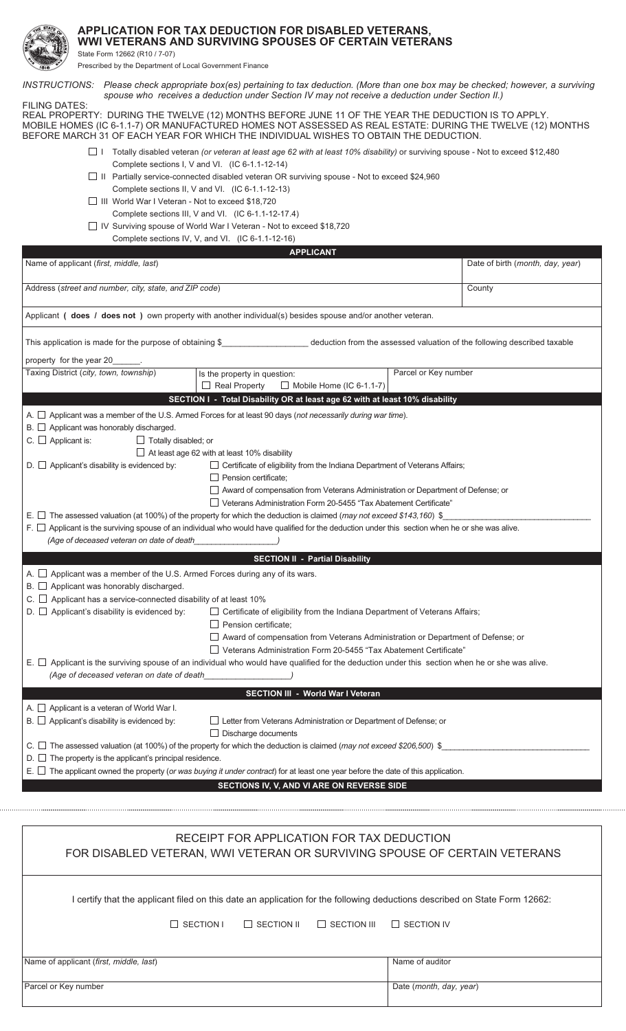

## APPLICATION FOR TAX DEDUCTION FOR DISABLED VETERANS, WWI VETERANS AND SURVIVING SPOUSES OF CERTAIN VETERANS

State Form 12662 (R10 / 7-07)

Prescribed by the Department of Local Government Finance

INSTRUCTIONS: Please check appropriate box(es) pertaining to tax deduction. (More than one box may be checked; however, a surviving spouse who receives a deduction under Section IV may not receive a deduction under Section II.) **FILING DATES:** REAL PROPERTY: DURING THE TWELVE (12) MONTHS BEFORE JUNE 11 OF THE YEAR THE DEDUCTION IS TO APPLY. MOBILE HOMES (IC 6-1.1-7) OR MANUFACTURED HOMES NOT ASSESSED AS REAL ESTATE: DURING THE TWELVE (12) MONTHS BEFORE MARCH 31 OF EACH YEAR FOR WHICH THE INDIVIDUAL WISHES TO OBTAIN THE DEDUCTION. □ 1 Totally disabled veteran (or veteran at least age 62 with at least 10% disability) or surviving spouse - Not to exceed \$12,480 Complete sections I, V and VI. (IC 6-1.1-12-14)  $\Box$  II Partially service-connected disabled veteran OR surviving spouse - Not to exceed \$24,960 Complete sections II, V and VI. (IC 6-1.1-12-13) □ III World War I Veteran - Not to exceed \$18,720 Complete sections III, V and VI. (IC 6-1.1-12-17.4) □ IV Surviving spouse of World War I Veteran - Not to exceed \$18,720 Complete sections IV, V, and VI. (IC 6-1.1-12-16) **APPLICANT** Name of applicant (first, middle, last) Date of birth (month, day, year) Address (street and number, city, state, and ZIP code) County Applicant ( does / does not ) own property with another individual(s) besides spouse and/or another veteran. This application is made for the purpose of obtaining \$\_ \_ deduction from the assessed valuation of the following described taxable property for the year 20 Taxing District (city, town, township) Parcel or Key number Is the property in question:  $\Box$  Mobile Home (IC 6-1.1-7)  $\Box$  Real Property SECTION I - Total Disability OR at least age 62 with at least 10% disability A.  $\Box$  Applicant was a member of the U.S. Armed Forces for at least 90 days (not necessarily during war time).  $B.$   $\Box$  Applicant was honorably discharged.  $C.$   $\Box$  Applicant is: Totally disabled; or  $\Box$  At least age 62 with at least 10% disability  $\Box$  Certificate of eligibility from the Indiana Department of Veterans Affairs;  $D.$   $\Box$  Applicant's disability is evidenced by:  $\Box$  Pension certificate: □ Award of compensation from Veterans Administration or Department of Defense; or □ Veterans Administration Form 20-5455 "Tax Abatement Certificate" E.  $\Box$  The assessed valuation (at 100%) of the property for which the deduction is claimed (may not exceed \$143,160) \$  $F.$  Applicant is the surviving spouse of an individual who would have qualified for the deduction under this section when he or she was alive. (Age of deceased veteran on date of death **SECTION II - Partial Disability** A.  $\Box$  Applicant was a member of the U.S. Armed Forces during any of its wars.  $B.$  Applicant was honorably discharged. C.  $\Box$  Applicant has a service-connected disability of at least 10%  $D.$   $\Box$  Applicant's disability is evidenced by: □ Certificate of eligibility from the Indiana Department of Veterans Affairs;  $\Box$  Pension certificate: □ Award of compensation from Veterans Administration or Department of Defense; or □ Veterans Administration Form 20-5455 "Tax Abatement Certificate" E. □ Applicant is the surviving spouse of an individual who would have qualified for the deduction under this section when he or she was alive. (Age of deceased veteran on date of death SECTION III - World War I Veteran A.  $\Box$  Applicant is a veteran of World War I.  $B.$   $\Box$  Applicant's disability is evidenced by: □ Letter from Veterans Administration or Department of Defense; or  $\Box$  Discharge documents C.  $\Box$  The assessed valuation (at 100%) of the property for which the deduction is claimed (may not exceed \$206,500) \$  $D.$   $\Box$  The property is the applicant's principal residence. E.  $\Box$  The applicant owned the property (or was buying it under contract) for at least one year before the date of this application. SECTIONS IV, V, AND VI ARE ON REVERSE SIDE RECEIPT FOR APPLICATION FOR TAX DEDUCTION FOR DISABLED VETERAN, WWI VETERAN OR SURVIVING SPOUSE OF CERTAIN VETERANS

I certify that the applicant filed on this date an application for the following deductions described on State Form 12662:

 $\Box$  SECTION I  $\Box$  SECTION II  $\Box$  SECTION III  $\Box$  SECTION IV

Name of applicant (first, middle, last)

Parcel or Key number

Date (month, day, year)

Name of auditor